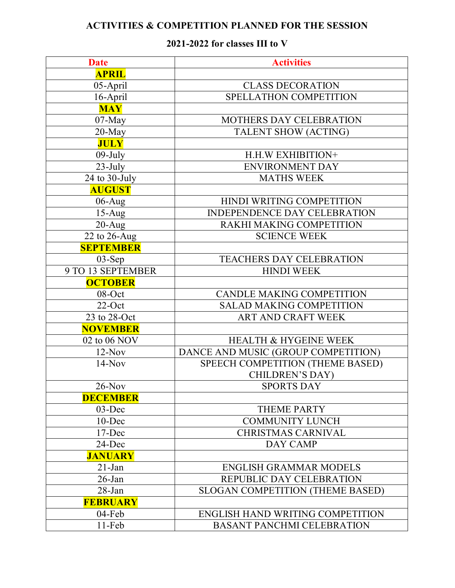## **ACTIVITIES & COMPETITION PLANNED FOR THE SESSION**

## **2021-2022 for classes III to V**

| <b>Date</b>       | <b>Activities</b>                   |
|-------------------|-------------------------------------|
| <b>APRIL</b>      |                                     |
| 05-April          | <b>CLASS DECORATION</b>             |
| 16-April          | SPELLATHON COMPETITION              |
| <b>MAY</b>        |                                     |
| $07$ -May         | MOTHERS DAY CELEBRATION             |
| $20$ -May         | TALENT SHOW (ACTING)                |
| <b>JULY</b>       |                                     |
| $09$ -July        | H.H.W EXHIBITION+                   |
| $23$ -July        | <b>ENVIRONMENT DAY</b>              |
| 24 to 30-July     | <b>MATHS WEEK</b>                   |
| <b>AUGUST</b>     |                                     |
| $06$ -Aug         | HINDI WRITING COMPETITION           |
| $15-Aug$          | <b>INDEPENDENCE DAY CELEBRATION</b> |
| $20-Aug$          | RAKHI MAKING COMPETITION            |
| 22 to 26-Aug      | <b>SCIENCE WEEK</b>                 |
| <b>SEPTEMBER</b>  |                                     |
| $03-Sep$          | <b>TEACHERS DAY CELEBRATION</b>     |
| 9 TO 13 SEPTEMBER | <b>HINDI WEEK</b>                   |
| <b>OCTOBER</b>    |                                     |
| 08-Oct            | <b>CANDLE MAKING COMPETITION</b>    |
| $22$ -Oct         | <b>SALAD MAKING COMPETITION</b>     |
| 23 to 28-Oct      | ART AND CRAFT WEEK                  |
| <b>NOVEMBER</b>   |                                     |
| 02 to 06 NOV      | <b>HEALTH &amp; HYGEINE WEEK</b>    |
| $12-Nov$          | DANCE AND MUSIC (GROUP COMPETITION) |
| $14-Nov$          | SPEECH COMPETITION (THEME BASED)    |
|                   | <b>CHILDREN'S DAY)</b>              |
| $26$ -Nov         | <b>SPORTS DAY</b>                   |
| <b>DECEMBER</b>   |                                     |
| $03$ -Dec         | <b>THEME PARTY</b>                  |
| $10$ -Dec         | <b>COMMUNITY LUNCH</b>              |
| 17-Dec            | <b>CHRISTMAS CARNIVAL</b>           |
| 24-Dec            | DAY CAMP                            |
| <b>JANUARY</b>    |                                     |
| $21$ -Jan         | <b>ENGLISH GRAMMAR MODELS</b>       |
| $26$ -Jan         | REPUBLIC DAY CELEBRATION            |
| $28$ -Jan         | SLOGAN COMPETITION (THEME BASED)    |
| <b>FEBRUARY</b>   |                                     |
| $04$ -Feb         | ENGLISH HAND WRITING COMPETITION    |
| $11-Feb$          | <b>BASANT PANCHMI CELEBRATION</b>   |